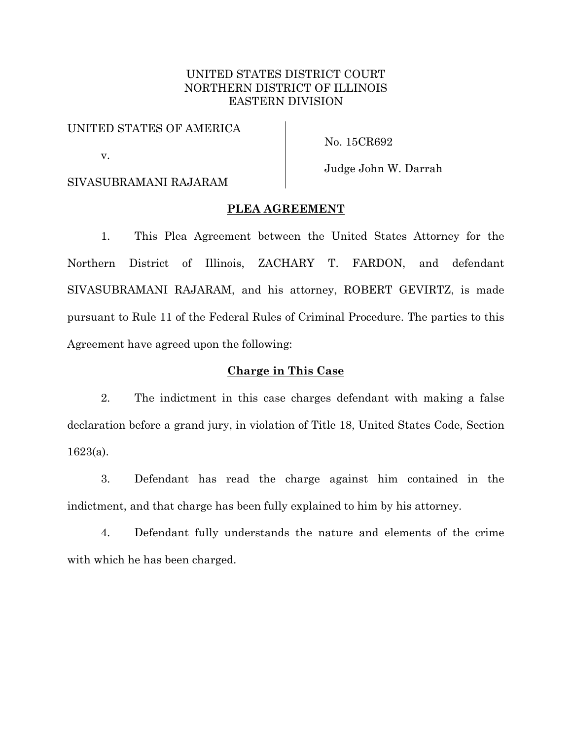# UNITED STATES DISTRICT COURT NORTHERN DISTRICT OF ILLINOIS EASTERN DIVISION

# UNITED STATES OF AMERICA

No. 15CR692

# SIVASUBRAMANI RAJARAM

v.

Judge John W. Darrah

# **PLEA AGREEMENT**

1. This Plea Agreement between the United States Attorney for the Northern District of Illinois, ZACHARY T. FARDON, and defendant SIVASUBRAMANI RAJARAM, and his attorney, ROBERT GEVIRTZ, is made pursuant to Rule 11 of the Federal Rules of Criminal Procedure. The parties to this Agreement have agreed upon the following:

# **Charge in This Case**

2. The indictment in this case charges defendant with making a false declaration before a grand jury, in violation of Title 18, United States Code, Section 1623(a).

3. Defendant has read the charge against him contained in the indictment, and that charge has been fully explained to him by his attorney.

4. Defendant fully understands the nature and elements of the crime with which he has been charged.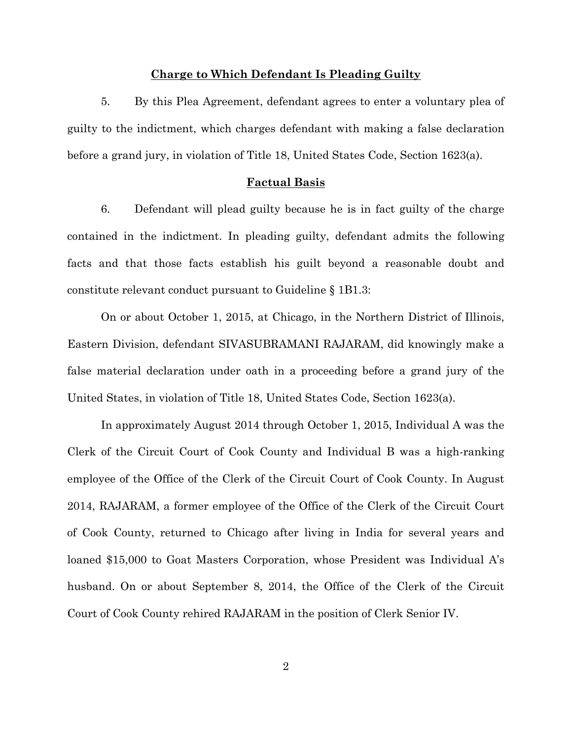### **Charge to Which Defendant Is Pleading Guilty**

5. By this Plea Agreement, defendant agrees to enter a voluntary plea of guilty to the indictment, which charges defendant with making a false declaration before a grand jury, in violation of Title 18, United States Code, Section 1623(a).

#### **Factual Basis**

6. Defendant will plead guilty because he is in fact guilty of the charge contained in the indictment. In pleading guilty, defendant admits the following facts and that those facts establish his guilt beyond a reasonable doubt and constitute relevant conduct pursuant to Guideline § 1B1.3:

 On or about October 1, 2015, at Chicago, in the Northern District of Illinois, Eastern Division, defendant SIVASUBRAMANI RAJARAM, did knowingly make a false material declaration under oath in a proceeding before a grand jury of the United States, in violation of Title 18, United States Code, Section 1623(a).

 In approximately August 2014 through October 1, 2015, Individual A was the Clerk of the Circuit Court of Cook County and Individual B was a high-ranking employee of the Office of the Clerk of the Circuit Court of Cook County. In August 2014, RAJARAM, a former employee of the Office of the Clerk of the Circuit Court of Cook County, returned to Chicago after living in India for several years and loaned \$15,000 to Goat Masters Corporation, whose President was Individual A's husband. On or about September 8, 2014, the Office of the Clerk of the Circuit Court of Cook County rehired RAJARAM in the position of Clerk Senior IV.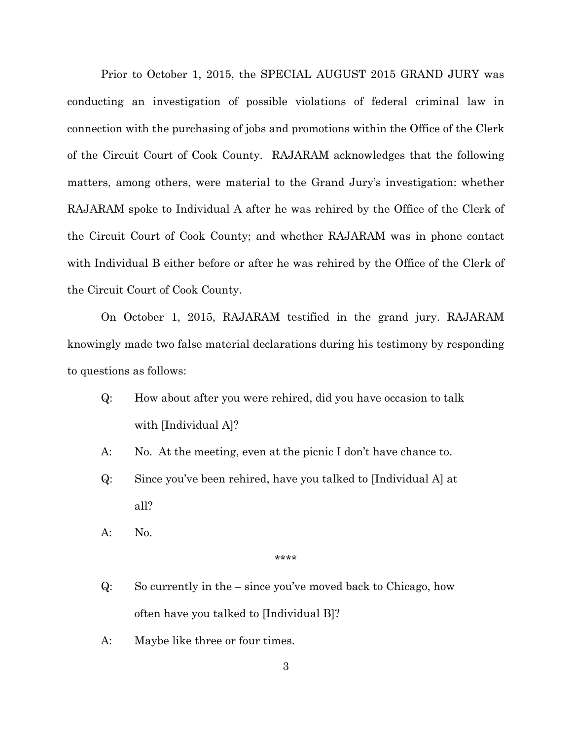Prior to October 1, 2015, the SPECIAL AUGUST 2015 GRAND JURY was conducting an investigation of possible violations of federal criminal law in connection with the purchasing of jobs and promotions within the Office of the Clerk of the Circuit Court of Cook County. RAJARAM acknowledges that the following matters, among others, were material to the Grand Jury's investigation: whether RAJARAM spoke to Individual A after he was rehired by the Office of the Clerk of the Circuit Court of Cook County; and whether RAJARAM was in phone contact with Individual B either before or after he was rehired by the Office of the Clerk of the Circuit Court of Cook County.

 On October 1, 2015, RAJARAM testified in the grand jury. RAJARAM knowingly made two false material declarations during his testimony by responding to questions as follows:

- Q: How about after you were rehired, did you have occasion to talk with [Individual A]?
- A: No. At the meeting, even at the picnic I don't have chance to.
- Q: Since you've been rehired, have you talked to [Individual A] at all?
- A: No.

\*\*\*\*

- Q: So currently in the since you've moved back to Chicago, how often have you talked to [Individual B]?
- A: Maybe like three or four times.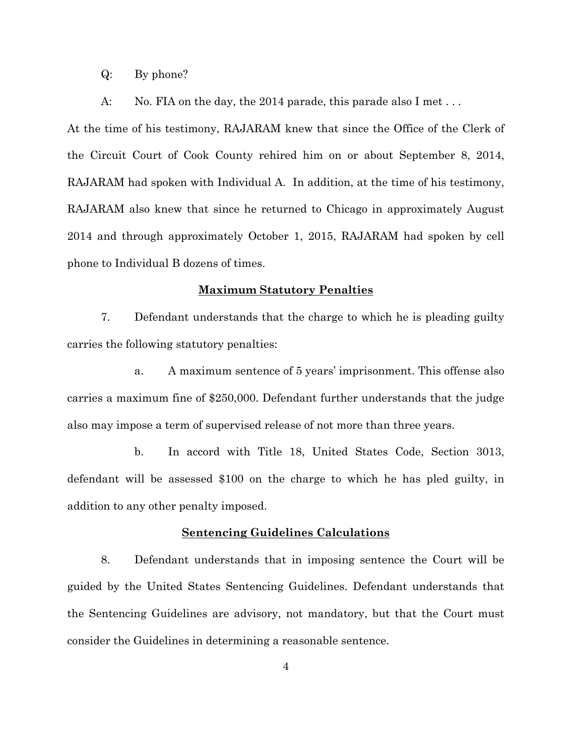Q: By phone?

A: No. FIA on the day, the 2014 parade, this parade also I met...

At the time of his testimony, RAJARAM knew that since the Office of the Clerk of the Circuit Court of Cook County rehired him on or about September 8, 2014, RAJARAM had spoken with Individual A. In addition, at the time of his testimony, RAJARAM also knew that since he returned to Chicago in approximately August 2014 and through approximately October 1, 2015, RAJARAM had spoken by cell phone to Individual B dozens of times.

### **Maximum Statutory Penalties**

7. Defendant understands that the charge to which he is pleading guilty carries the following statutory penalties:

a. A maximum sentence of 5 years' imprisonment. This offense also carries a maximum fine of \$250,000. Defendant further understands that the judge also may impose a term of supervised release of not more than three years.

b. In accord with Title 18, United States Code, Section 3013, defendant will be assessed \$100 on the charge to which he has pled guilty, in addition to any other penalty imposed.

#### **Sentencing Guidelines Calculations**

8. Defendant understands that in imposing sentence the Court will be guided by the United States Sentencing Guidelines. Defendant understands that the Sentencing Guidelines are advisory, not mandatory, but that the Court must consider the Guidelines in determining a reasonable sentence.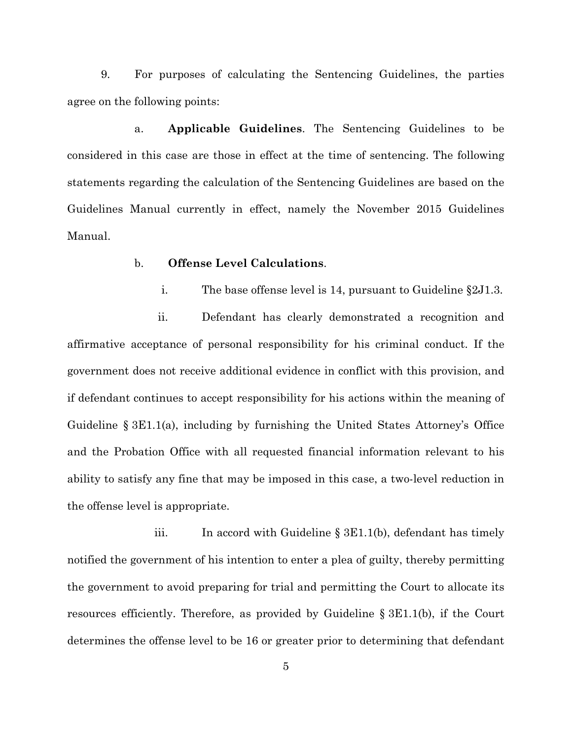9. For purposes of calculating the Sentencing Guidelines, the parties agree on the following points:

a. **Applicable Guidelines**. The Sentencing Guidelines to be considered in this case are those in effect at the time of sentencing. The following statements regarding the calculation of the Sentencing Guidelines are based on the Guidelines Manual currently in effect, namely the November 2015 Guidelines Manual.

# b. **Offense Level Calculations**.

i. The base offense level is 14, pursuant to Guideline §2J1.3.

ii. Defendant has clearly demonstrated a recognition and affirmative acceptance of personal responsibility for his criminal conduct. If the government does not receive additional evidence in conflict with this provision, and if defendant continues to accept responsibility for his actions within the meaning of Guideline § 3E1.1(a), including by furnishing the United States Attorney's Office and the Probation Office with all requested financial information relevant to his ability to satisfy any fine that may be imposed in this case, a two-level reduction in the offense level is appropriate.

iii. In accord with Guideline § 3E1.1(b), defendant has timely notified the government of his intention to enter a plea of guilty, thereby permitting the government to avoid preparing for trial and permitting the Court to allocate its resources efficiently. Therefore, as provided by Guideline § 3E1.1(b), if the Court determines the offense level to be 16 or greater prior to determining that defendant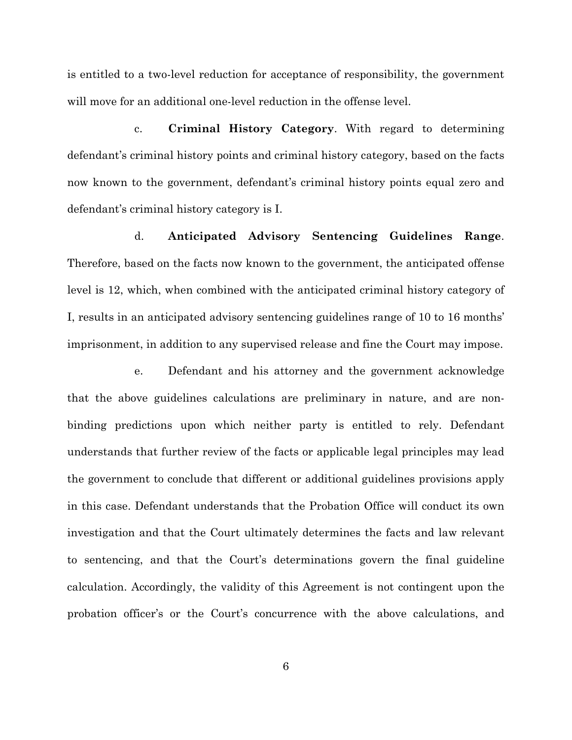is entitled to a two-level reduction for acceptance of responsibility, the government will move for an additional one-level reduction in the offense level.

c. **Criminal History Category**. With regard to determining defendant's criminal history points and criminal history category, based on the facts now known to the government, defendant's criminal history points equal zero and defendant's criminal history category is I.

d. **Anticipated Advisory Sentencing Guidelines Range**. Therefore, based on the facts now known to the government, the anticipated offense level is 12, which, when combined with the anticipated criminal history category of I, results in an anticipated advisory sentencing guidelines range of 10 to 16 months' imprisonment, in addition to any supervised release and fine the Court may impose.

e. Defendant and his attorney and the government acknowledge that the above guidelines calculations are preliminary in nature, and are nonbinding predictions upon which neither party is entitled to rely. Defendant understands that further review of the facts or applicable legal principles may lead the government to conclude that different or additional guidelines provisions apply in this case. Defendant understands that the Probation Office will conduct its own investigation and that the Court ultimately determines the facts and law relevant to sentencing, and that the Court's determinations govern the final guideline calculation. Accordingly, the validity of this Agreement is not contingent upon the probation officer's or the Court's concurrence with the above calculations, and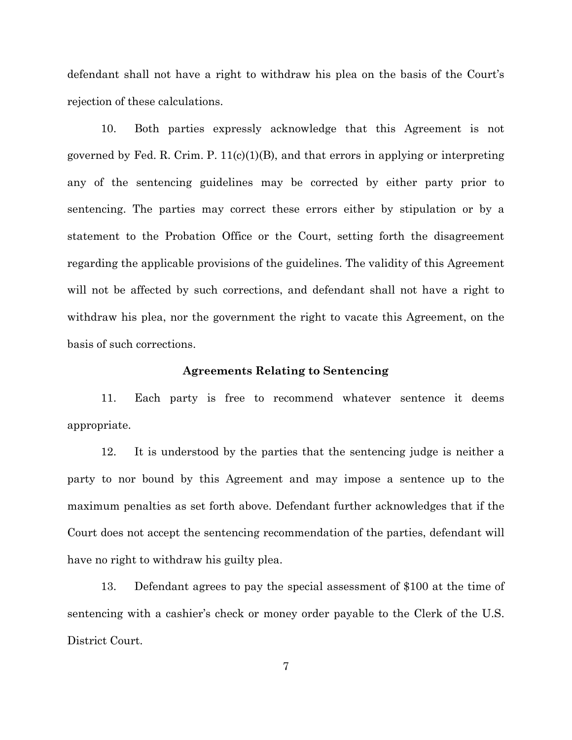defendant shall not have a right to withdraw his plea on the basis of the Court's rejection of these calculations.

10. Both parties expressly acknowledge that this Agreement is not governed by Fed. R. Crim. P.  $11(c)(1)(B)$ , and that errors in applying or interpreting any of the sentencing guidelines may be corrected by either party prior to sentencing. The parties may correct these errors either by stipulation or by a statement to the Probation Office or the Court, setting forth the disagreement regarding the applicable provisions of the guidelines. The validity of this Agreement will not be affected by such corrections, and defendant shall not have a right to withdraw his plea, nor the government the right to vacate this Agreement, on the basis of such corrections.

### **Agreements Relating to Sentencing**

11. Each party is free to recommend whatever sentence it deems appropriate.

12. It is understood by the parties that the sentencing judge is neither a party to nor bound by this Agreement and may impose a sentence up to the maximum penalties as set forth above. Defendant further acknowledges that if the Court does not accept the sentencing recommendation of the parties, defendant will have no right to withdraw his guilty plea.

13. Defendant agrees to pay the special assessment of \$100 at the time of sentencing with a cashier's check or money order payable to the Clerk of the U.S. District Court.

7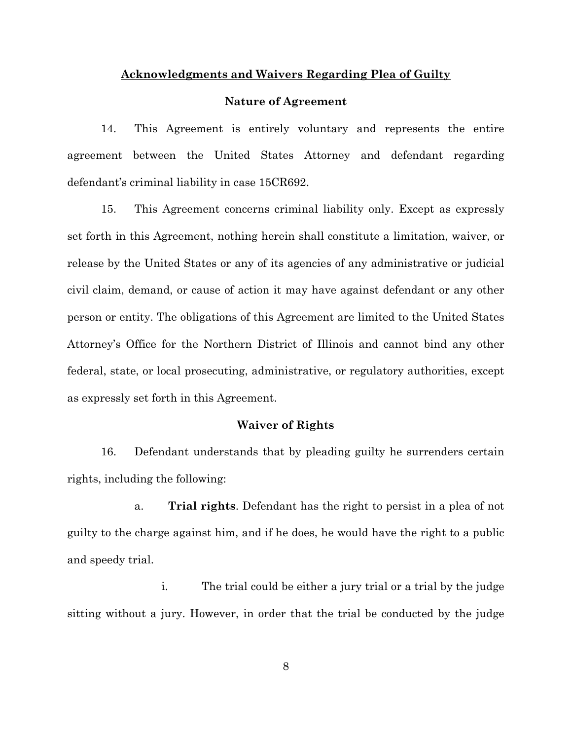### **Acknowledgments and Waivers Regarding Plea of Guilty**

#### **Nature of Agreement**

14. This Agreement is entirely voluntary and represents the entire agreement between the United States Attorney and defendant regarding defendant's criminal liability in case 15CR692.

15. This Agreement concerns criminal liability only. Except as expressly set forth in this Agreement, nothing herein shall constitute a limitation, waiver, or release by the United States or any of its agencies of any administrative or judicial civil claim, demand, or cause of action it may have against defendant or any other person or entity. The obligations of this Agreement are limited to the United States Attorney's Office for the Northern District of Illinois and cannot bind any other federal, state, or local prosecuting, administrative, or regulatory authorities, except as expressly set forth in this Agreement.

### **Waiver of Rights**

16. Defendant understands that by pleading guilty he surrenders certain rights, including the following:

a. **Trial rights**. Defendant has the right to persist in a plea of not guilty to the charge against him, and if he does, he would have the right to a public and speedy trial.

i. The trial could be either a jury trial or a trial by the judge sitting without a jury. However, in order that the trial be conducted by the judge

8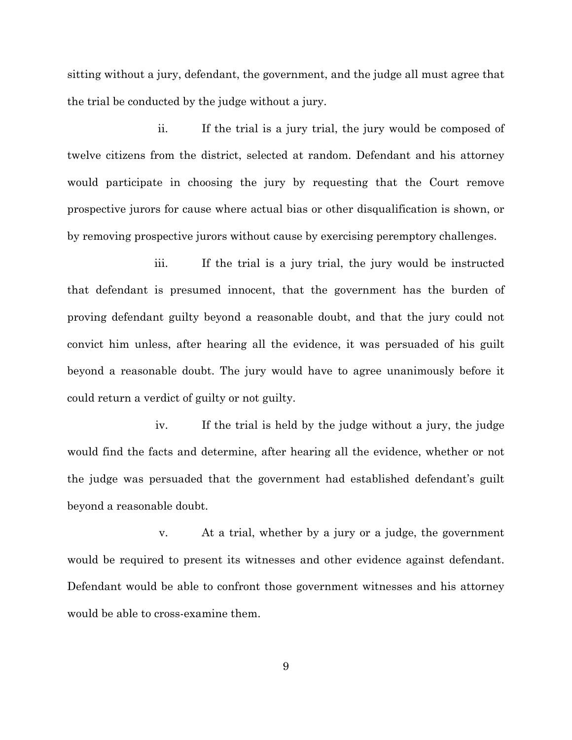sitting without a jury, defendant, the government, and the judge all must agree that the trial be conducted by the judge without a jury.

ii. If the trial is a jury trial, the jury would be composed of twelve citizens from the district, selected at random. Defendant and his attorney would participate in choosing the jury by requesting that the Court remove prospective jurors for cause where actual bias or other disqualification is shown, or by removing prospective jurors without cause by exercising peremptory challenges.

iii. If the trial is a jury trial, the jury would be instructed that defendant is presumed innocent, that the government has the burden of proving defendant guilty beyond a reasonable doubt, and that the jury could not convict him unless, after hearing all the evidence, it was persuaded of his guilt beyond a reasonable doubt. The jury would have to agree unanimously before it could return a verdict of guilty or not guilty.

iv. If the trial is held by the judge without a jury, the judge would find the facts and determine, after hearing all the evidence, whether or not the judge was persuaded that the government had established defendant's guilt beyond a reasonable doubt.

v. At a trial, whether by a jury or a judge, the government would be required to present its witnesses and other evidence against defendant. Defendant would be able to confront those government witnesses and his attorney would be able to cross-examine them.

9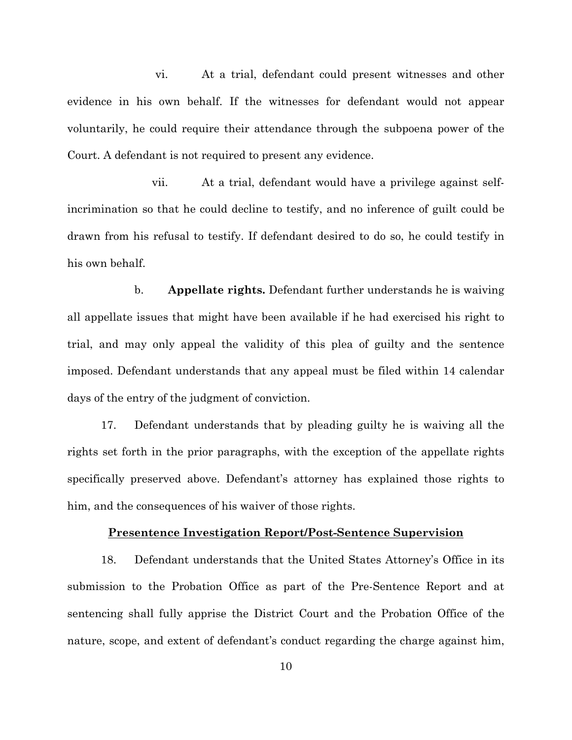vi. At a trial, defendant could present witnesses and other evidence in his own behalf. If the witnesses for defendant would not appear voluntarily, he could require their attendance through the subpoena power of the Court. A defendant is not required to present any evidence.

vii. At a trial, defendant would have a privilege against selfincrimination so that he could decline to testify, and no inference of guilt could be drawn from his refusal to testify. If defendant desired to do so, he could testify in his own behalf.

b. **Appellate rights.** Defendant further understands he is waiving all appellate issues that might have been available if he had exercised his right to trial, and may only appeal the validity of this plea of guilty and the sentence imposed. Defendant understands that any appeal must be filed within 14 calendar days of the entry of the judgment of conviction.

17. Defendant understands that by pleading guilty he is waiving all the rights set forth in the prior paragraphs, with the exception of the appellate rights specifically preserved above. Defendant's attorney has explained those rights to him, and the consequences of his waiver of those rights.

#### **Presentence Investigation Report/Post-Sentence Supervision**

18. Defendant understands that the United States Attorney's Office in its submission to the Probation Office as part of the Pre-Sentence Report and at sentencing shall fully apprise the District Court and the Probation Office of the nature, scope, and extent of defendant's conduct regarding the charge against him,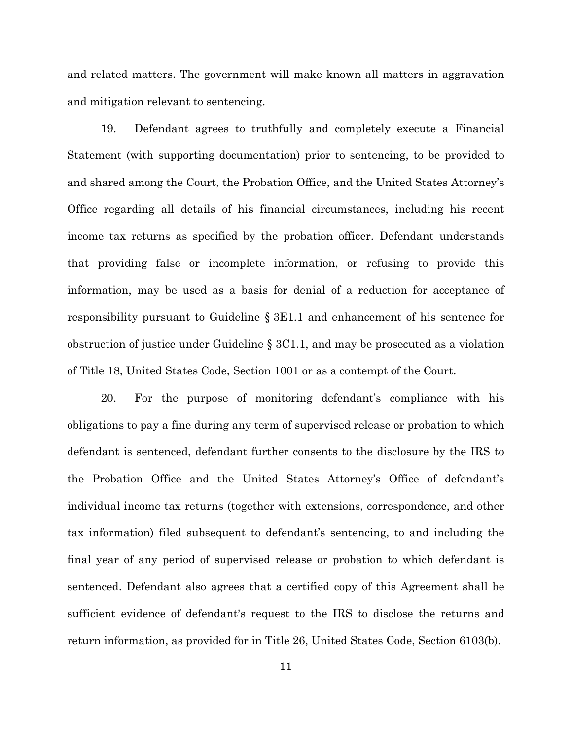and related matters. The government will make known all matters in aggravation and mitigation relevant to sentencing.

19. Defendant agrees to truthfully and completely execute a Financial Statement (with supporting documentation) prior to sentencing, to be provided to and shared among the Court, the Probation Office, and the United States Attorney's Office regarding all details of his financial circumstances, including his recent income tax returns as specified by the probation officer. Defendant understands that providing false or incomplete information, or refusing to provide this information, may be used as a basis for denial of a reduction for acceptance of responsibility pursuant to Guideline § 3E1.1 and enhancement of his sentence for obstruction of justice under Guideline § 3C1.1, and may be prosecuted as a violation of Title 18, United States Code, Section 1001 or as a contempt of the Court.

20. For the purpose of monitoring defendant's compliance with his obligations to pay a fine during any term of supervised release or probation to which defendant is sentenced, defendant further consents to the disclosure by the IRS to the Probation Office and the United States Attorney's Office of defendant's individual income tax returns (together with extensions, correspondence, and other tax information) filed subsequent to defendant's sentencing, to and including the final year of any period of supervised release or probation to which defendant is sentenced. Defendant also agrees that a certified copy of this Agreement shall be sufficient evidence of defendant's request to the IRS to disclose the returns and return information, as provided for in Title 26, United States Code, Section 6103(b).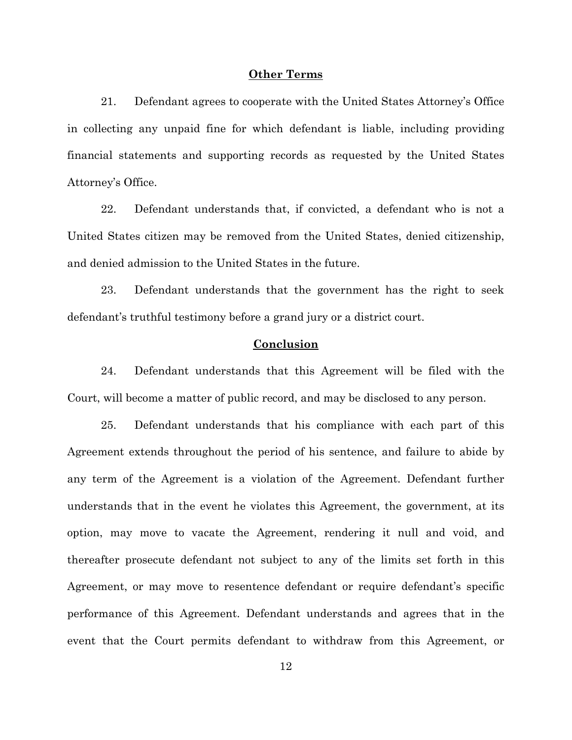#### **Other Terms**

21. Defendant agrees to cooperate with the United States Attorney's Office in collecting any unpaid fine for which defendant is liable, including providing financial statements and supporting records as requested by the United States Attorney's Office.

22. Defendant understands that, if convicted, a defendant who is not a United States citizen may be removed from the United States, denied citizenship, and denied admission to the United States in the future.

23. Defendant understands that the government has the right to seek defendant's truthful testimony before a grand jury or a district court.

# **Conclusion**

24. Defendant understands that this Agreement will be filed with the Court, will become a matter of public record, and may be disclosed to any person.

25. Defendant understands that his compliance with each part of this Agreement extends throughout the period of his sentence, and failure to abide by any term of the Agreement is a violation of the Agreement. Defendant further understands that in the event he violates this Agreement, the government, at its option, may move to vacate the Agreement, rendering it null and void, and thereafter prosecute defendant not subject to any of the limits set forth in this Agreement, or may move to resentence defendant or require defendant's specific performance of this Agreement. Defendant understands and agrees that in the event that the Court permits defendant to withdraw from this Agreement, or